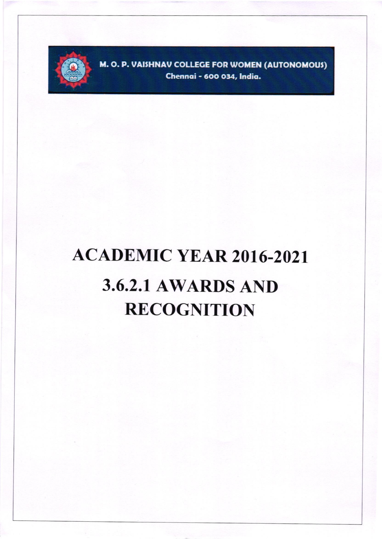

M. O. P. VAISHNAV COLLEGE FOR WOMEN (AUTONOMOUS) Chennai - 600 034, India.

# **ACADEMIC YEAR 2016-2021 3.6.2.1 AWARDS AND RECOGNITION**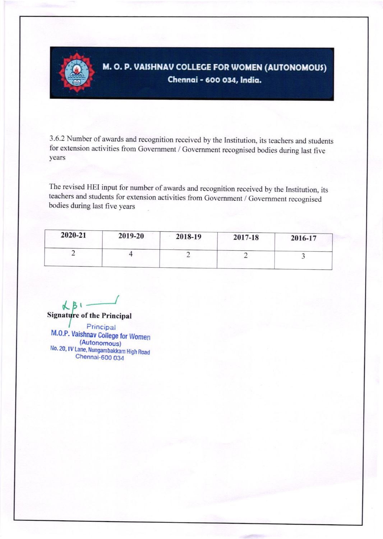

# M. O. P. VAISHNAV COLLEGE FOR WOMEN (AUTONOMOUS) Chennai - 600 034, India.

3.6.2 Number of awards and recognition received by the Institution, its teachers and students for extension activities from Government / Government recognised bodies during last five years

The revised HEI input for number of awards and recognition received by the Institution, its teachers and students for extension activities from Government / Government recognised bodies during last five years

| 2020-21 | 2019-20 | 2018-19 | 2017-18 | 2016-17 |
|---------|---------|---------|---------|---------|
|         |         | -       |         |         |
|         |         |         |         |         |

 $AC$   $B$ **Signature of the Principal** 

Principal M.O.P. Vaishnav College for Women (Autonomous) No. 20, IV Lane, Nungambakkam High Road Chennai-600 034